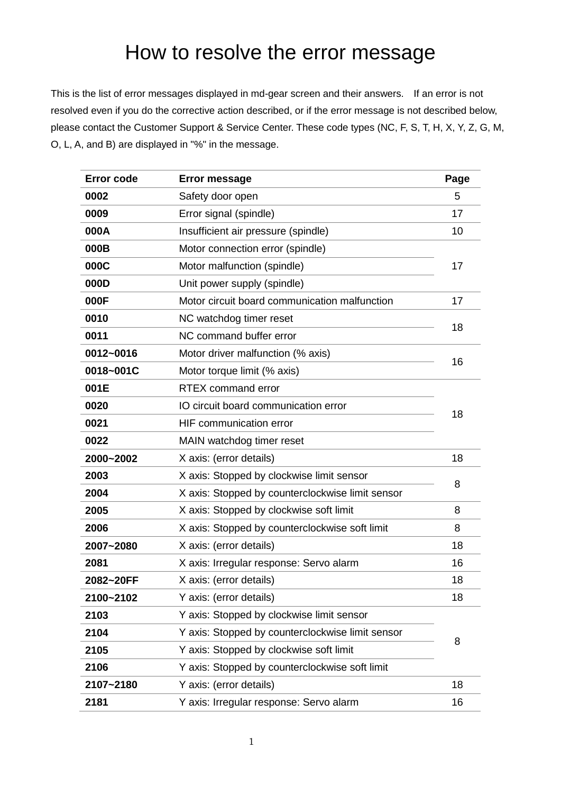# How to resolve the error message

This is the list of error messages displayed in md-gear screen and their answers. If an error is not resolved even if you do the corrective action described, or if the error message is not described below, please contact the Customer Support & Service Center. These code types (NC, F, S, T, H, X, Y, Z, G, M, O, L, A, and B) are displayed in "%" in the message.

| <b>Error code</b> | <b>Error message</b>                                 |    |  |
|-------------------|------------------------------------------------------|----|--|
| 0002              | Safety door open                                     | 5  |  |
| 0009              | Error signal (spindle)                               | 17 |  |
| 000A              | Insufficient air pressure (spindle)                  | 10 |  |
| 000B              | Motor connection error (spindle)                     |    |  |
| 000C              | Motor malfunction (spindle)                          | 17 |  |
| 000D              | Unit power supply (spindle)                          |    |  |
| 000F              | Motor circuit board communication malfunction        | 17 |  |
| 0010              | NC watchdog timer reset<br>NC command buffer error   |    |  |
| 0011              |                                                      |    |  |
| 0012~0016         | Motor driver malfunction (% axis)                    |    |  |
| 0018~001C         | Motor torque limit (% axis)                          | 16 |  |
| 001E              | <b>RTEX</b> command error                            |    |  |
| 0020              | IO circuit board communication error                 | 18 |  |
| 0021              | HIF communication error<br>MAIN watchdog timer reset |    |  |
| 0022              |                                                      |    |  |
| 2000~2002         | X axis: (error details)                              |    |  |
| 2003              | X axis: Stopped by clockwise limit sensor            |    |  |
| 2004              | X axis: Stopped by counterclockwise limit sensor     | 8  |  |
| 2005              | X axis: Stopped by clockwise soft limit              |    |  |
| 2006              | X axis: Stopped by counterclockwise soft limit       | 8  |  |
| 2007~2080         | X axis: (error details)                              | 18 |  |
| 2081              | X axis: Irregular response: Servo alarm              | 16 |  |
| 2082~20FF         | X axis: (error details)                              | 18 |  |
| 2100~2102         | Y axis: (error details)                              | 18 |  |
| 2103              | Y axis: Stopped by clockwise limit sensor            |    |  |
| 2104              | Y axis: Stopped by counterclockwise limit sensor     | 8  |  |
| 2105              | Y axis: Stopped by clockwise soft limit              |    |  |
| 2106              | Y axis: Stopped by counterclockwise soft limit       |    |  |
| 2107~2180         | Y axis: (error details)                              | 18 |  |
| 2181              | Y axis: Irregular response: Servo alarm              | 16 |  |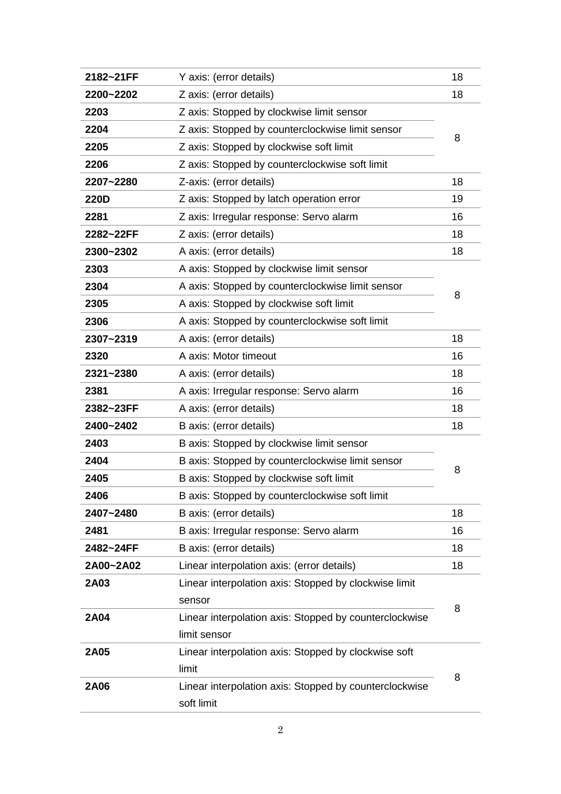| 2182~21FF   | Y axis: (error details)                                |    |
|-------------|--------------------------------------------------------|----|
| 2200~2202   | Z axis: (error details)                                | 18 |
| 2203        | Z axis: Stopped by clockwise limit sensor              |    |
| 2204        | Z axis: Stopped by counterclockwise limit sensor       |    |
| 2205        | Z axis: Stopped by clockwise soft limit                |    |
| 2206        | Z axis: Stopped by counterclockwise soft limit         |    |
| 2207~2280   | Z-axis: (error details)                                |    |
| <b>220D</b> | Z axis: Stopped by latch operation error               |    |
| 2281        | Z axis: Irregular response: Servo alarm                |    |
| 2282~22FF   | Z axis: (error details)                                |    |
| 2300~2302   | A axis: (error details)                                |    |
| 2303        | A axis: Stopped by clockwise limit sensor              |    |
| 2304        | A axis: Stopped by counterclockwise limit sensor       | 8  |
| 2305        | A axis: Stopped by clockwise soft limit                |    |
| 2306        | A axis: Stopped by counterclockwise soft limit         |    |
| 2307~2319   | A axis: (error details)                                |    |
| 2320        | A axis: Motor timeout                                  |    |
| 2321~2380   | A axis: (error details)                                |    |
| 2381        | A axis: Irregular response: Servo alarm                |    |
| 2382~23FF   | A axis: (error details)                                | 18 |
| 2400~2402   | B axis: (error details)                                | 18 |
| 2403        | B axis: Stopped by clockwise limit sensor              |    |
| 2404        | B axis: Stopped by counterclockwise limit sensor       | 8  |
| 2405        | B axis: Stopped by clockwise soft limit                |    |
| 2406        | B axis: Stopped by counterclockwise soft limit         |    |
| 2407~2480   | B axis: (error details)                                | 18 |
| 2481        | B axis: Irregular response: Servo alarm                | 16 |
| 2482~24FF   | B axis: (error details)                                | 18 |
| 2A00~2A02   | Linear interpolation axis: (error details)             | 18 |
| 2A03        | Linear interpolation axis: Stopped by clockwise limit  |    |
|             | sensor                                                 | 8  |
| 2A04        | Linear interpolation axis: Stopped by counterclockwise |    |
|             | limit sensor                                           |    |
| 2A05        | Linear interpolation axis: Stopped by clockwise soft   |    |
|             | limit                                                  | 8  |
| 2A06        | Linear interpolation axis: Stopped by counterclockwise |    |
|             | soft limit                                             |    |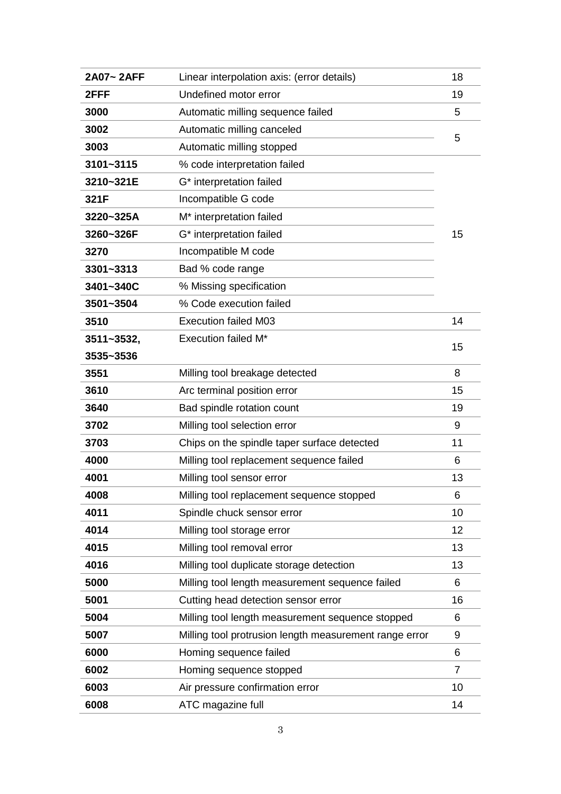| 2A07~2AFF  | Linear interpolation axis: (error details)             |    |
|------------|--------------------------------------------------------|----|
| 2FFF       | Undefined motor error                                  |    |
| 3000       | Automatic milling sequence failed                      |    |
| 3002       | Automatic milling canceled                             |    |
| 3003       | Automatic milling stopped                              |    |
| 3101~3115  | % code interpretation failed                           |    |
| 3210~321E  | G* interpretation failed                               |    |
| 321F       | Incompatible G code                                    |    |
| 3220~325A  | M <sup>*</sup> interpretation failed                   |    |
| 3260~326F  | G* interpretation failed                               |    |
| 3270       | Incompatible M code                                    |    |
| 3301~3313  | Bad % code range                                       |    |
| 3401~340C  | % Missing specification                                |    |
| 3501~3504  | % Code execution failed                                |    |
| 3510       | <b>Execution failed M03</b>                            |    |
| 3511~3532, | <b>Execution failed M*</b>                             | 15 |
| 3535~3536  |                                                        |    |
| 3551       | Milling tool breakage detected                         |    |
| 3610       | Arc terminal position error                            | 15 |
| 3640       | Bad spindle rotation count                             |    |
| 3702       | Milling tool selection error                           | 9  |
| 3703       | Chips on the spindle taper surface detected            |    |
| 4000       | Milling tool replacement sequence failed               | 6  |
| 4001       | Milling tool sensor error                              |    |
| 4008       | Milling tool replacement sequence stopped              | 6  |
| 4011       | Spindle chuck sensor error                             |    |
| 4014       | Milling tool storage error                             |    |
| 4015       | Milling tool removal error                             |    |
| 4016       | Milling tool duplicate storage detection               |    |
| 5000       | Milling tool length measurement sequence failed        |    |
| 5001       | Cutting head detection sensor error                    |    |
| 5004       | Milling tool length measurement sequence stopped       |    |
| 5007       | Milling tool protrusion length measurement range error |    |
| 6000       | Homing sequence failed                                 |    |
| 6002       | Homing sequence stopped                                |    |
| 6003       | Air pressure confirmation error                        |    |
| 6008       | ATC magazine full                                      |    |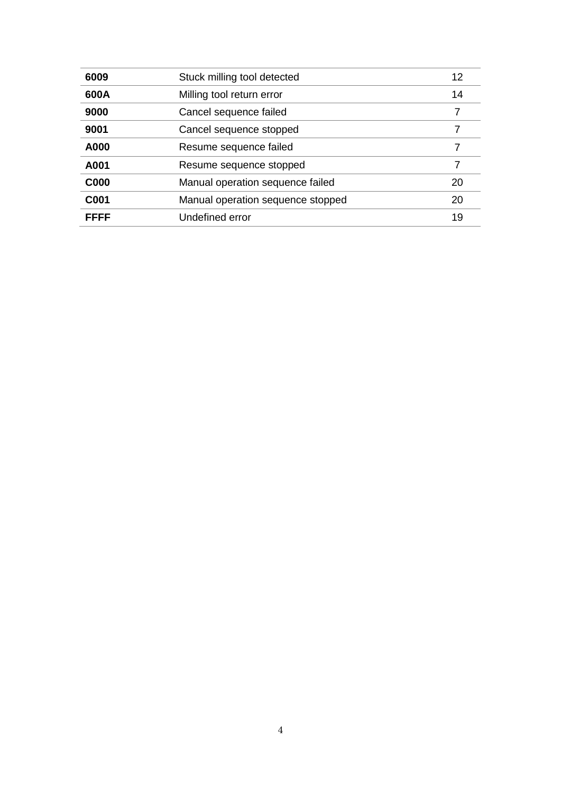| 6009        | Stuck milling tool detected            |  |  |
|-------------|----------------------------------------|--|--|
| 600A        | Milling tool return error              |  |  |
| 9000        | Cancel sequence failed                 |  |  |
| 9001        | Cancel sequence stopped                |  |  |
| A000        | Resume sequence failed                 |  |  |
| A001        | Resume sequence stopped<br>7           |  |  |
| <b>C000</b> | Manual operation sequence failed<br>20 |  |  |
| C001        | Manual operation sequence stopped      |  |  |
| FFFF        | Undefined error                        |  |  |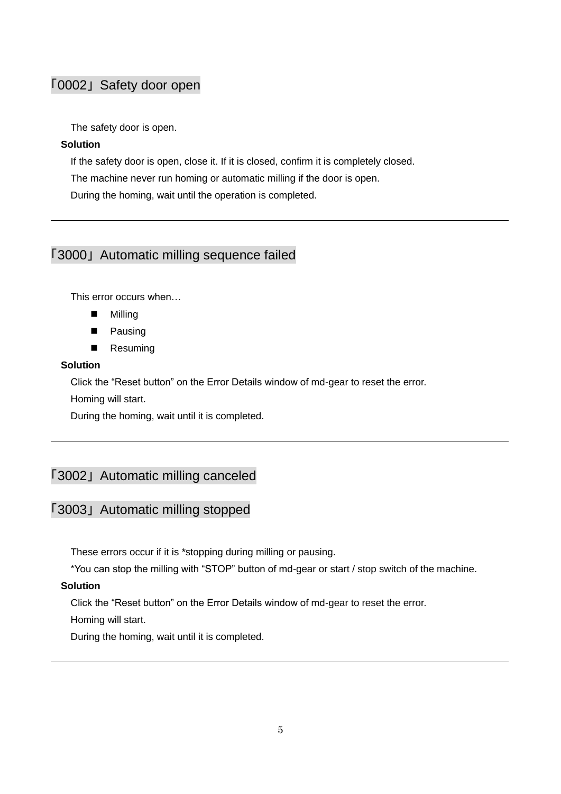# <span id="page-4-0"></span>「0002」 Safety door open

The safety door is open.

### **Solution**

If the safety door is open, close it. If it is closed, confirm it is completely closed.

The machine never run homing or automatic milling if the door is open.

During the homing, wait until the operation is completed.

# <span id="page-4-1"></span>「3000」 Automatic milling sequence failed

This error occurs when…

- **Milling**
- **Pausing**
- **Resuming**

### **Solution**

Click the "Reset button" on the Error Details window of md-gear to reset the error.

Homing will start.

During the homing, wait until it is completed.

# <span id="page-4-2"></span>「3002」 Automatic milling canceled

### 「3003」 Automatic milling stopped

These errors occur if it is \*stopping during milling or pausing.

\*You can stop the milling with "STOP" button of md-gear or start / stop switch of the machine.

#### **Solution**

Click the "Reset button" on the Error Details window of md-gear to reset the error.

Homing will start.

During the homing, wait until it is completed.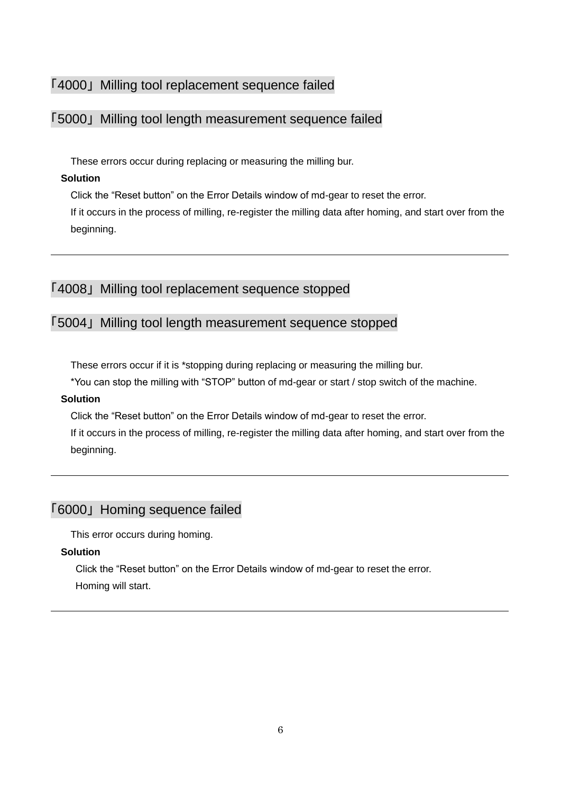### <span id="page-5-0"></span>「4000」 Milling tool replacement sequence failed

### <span id="page-5-2"></span>「5000」 Milling tool length measurement sequence failed

These errors occur during replacing or measuring the milling bur.

### **Solution**

Click the "Reset button" on the Error Details window of md-gear to reset the error.

If it occurs in the process of milling, re-register the milling data after homing, and start over from the beginning.

# <span id="page-5-1"></span>「4008」 Milling tool replacement sequence stopped

# <span id="page-5-3"></span>「5004」 Milling tool length measurement sequence stopped

These errors occur if it is \*stopping during replacing or measuring the milling bur.

\*You can stop the milling with "STOP" button of md-gear or start / stop switch of the machine.

### **Solution**

Click the "Reset button" on the Error Details window of md-gear to reset the error.

If it occurs in the process of milling, re-register the milling data after homing, and start over from the beginning.

# <span id="page-5-4"></span>「6000」 Homing sequence failed

This error occurs during homing.

### **Solution**

Click the "Reset button" on the Error Details window of md-gear to reset the error.

Homing will start.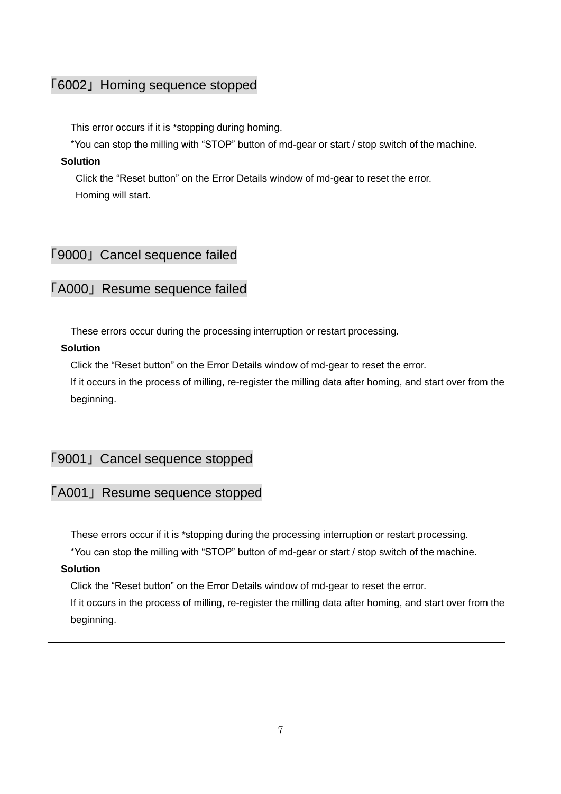# <span id="page-6-0"></span>「6002」 Homing sequence stopped

This error occurs if it is \*stopping during homing.

\*You can stop the milling with "STOP" button of md-gear or start / stop switch of the machine.

#### **Solution**

Click the "Reset button" on the Error Details window of md-gear to reset the error. Homing will start.

# <span id="page-6-1"></span>「9000」 Cancel sequence failed

### <span id="page-6-3"></span>「A000」 Resume sequence failed

These errors occur during the processing interruption or restart processing.

### **Solution**

Click the "Reset button" on the Error Details window of md-gear to reset the error.

If it occurs in the process of milling, re-register the milling data after homing, and start over from the beginning.

# <span id="page-6-2"></span>「9001」 Cancel sequence stopped

# <span id="page-6-4"></span>「A001」 Resume sequence stopped

These errors occur if it is \*stopping during the processing interruption or restart processing.

\*You can stop the milling with "STOP" button of md-gear or start / stop switch of the machine.

#### **Solution**

Click the "Reset button" on the Error Details window of md-gear to reset the error.

If it occurs in the process of milling, re-register the milling data after homing, and start over from the beginning.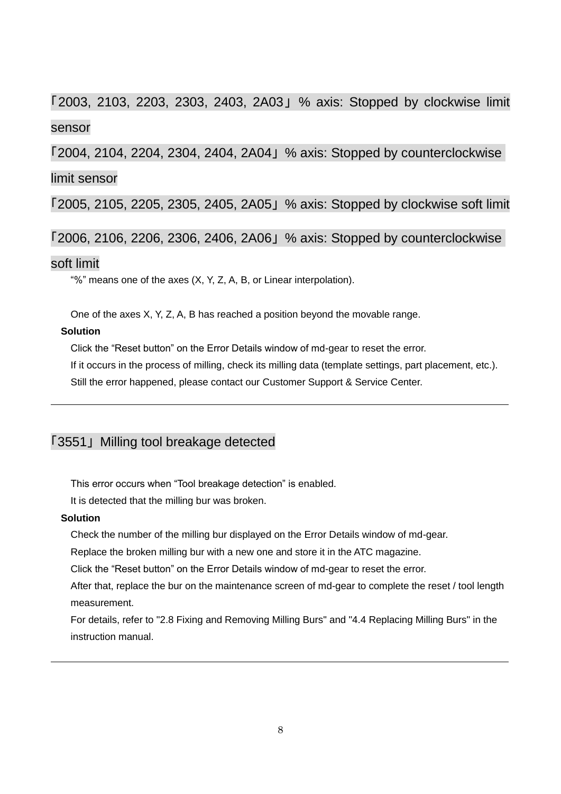# <span id="page-7-0"></span>「2003, 2103, 2203, 2303, 2403, 2A03」 % axis: Stopped by clockwise limit sensor

「2004, 2104, 2204, 2304, 2404, 2A04」 % axis: Stopped by counterclockwise limit sensor

<span id="page-7-1"></span>「2005, 2105, 2205, 2305, 2405, 2A05」 % axis: Stopped by clockwise soft limit

<span id="page-7-2"></span>「2006, 2106, 2206, 2306, 2406, 2A06」 % axis: Stopped by counterclockwise

### soft limit

"%" means one of the axes  $(X, Y, Z, A, B, or)$  Linear interpolation).

One of the axes X, Y, Z, A, B has reached a position beyond the movable range.

### **Solution**

Click the "Reset button" on the Error Details window of md-gear to reset the error.

If it occurs in the process of milling, check its milling data (template settings, part placement, etc.).

Still the error happened, please contact our Customer Support & Service Center.

# <span id="page-7-3"></span>「3551」 Milling tool breakage detected

This error occurs when "Tool breakage detection" is enabled.

It is detected that the milling bur was broken.

#### **Solution**

Check the number of the milling bur displayed on the Error Details window of md-gear.

Replace the broken milling bur with a new one and store it in the ATC magazine.

Click the "Reset button" on the Error Details window of md-gear to reset the error.

After that, replace the bur on the maintenance screen of md-gear to complete the reset / tool length measurement.

For details, refer to "2.8 Fixing and Removing Milling Burs" and "4.4 Replacing Milling Burs" in the instruction manual.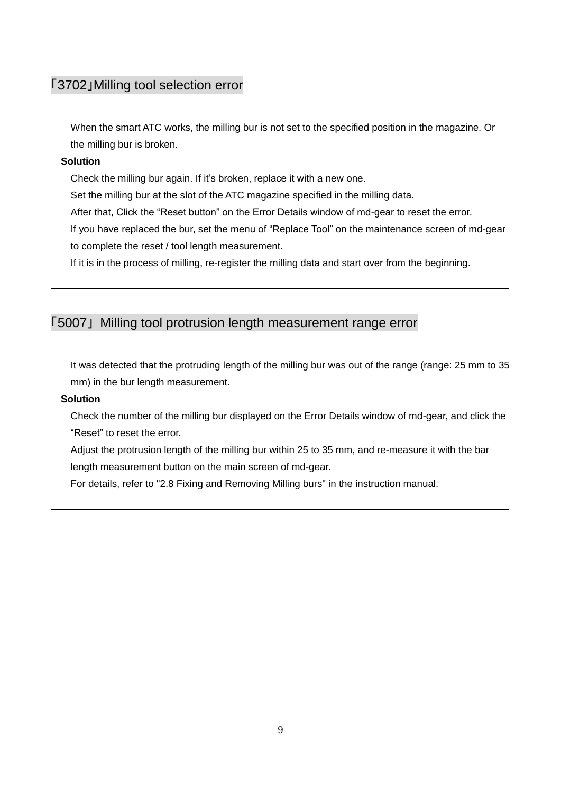### <span id="page-8-0"></span>「3702」Milling tool selection error

When the smart ATC works, the milling bur is not set to the specified position in the magazine. Or the milling bur is broken.

#### **Solution**

Check the milling bur again. If it's broken, replace it with a new one.

Set the milling bur at the slot of the ATC magazine specified in the milling data.

After that, Click the "Reset button" on the Error Details window of md-gear to reset the error.

If you have replaced the bur, set the menu of "Replace Tool" on the maintenance screen of md-gear to complete the reset / tool length measurement.

If it is in the process of milling, re-register the milling data and start over from the beginning.

# <span id="page-8-1"></span>「5007」 Milling tool protrusion length measurement range error

It was detected that the protruding length of the milling bur was out of the range (range: 25 mm to 35 mm) in the bur length measurement.

#### **Solution**

Check the number of the milling bur displayed on the Error Details window of md-gear, and click the "Reset" to reset the error.

Adjust the protrusion length of the milling bur within 25 to 35 mm, and re-measure it with the bar length measurement button on the main screen of md-gear.

For details, refer to "2.8 Fixing and Removing Milling burs" in the instruction manual.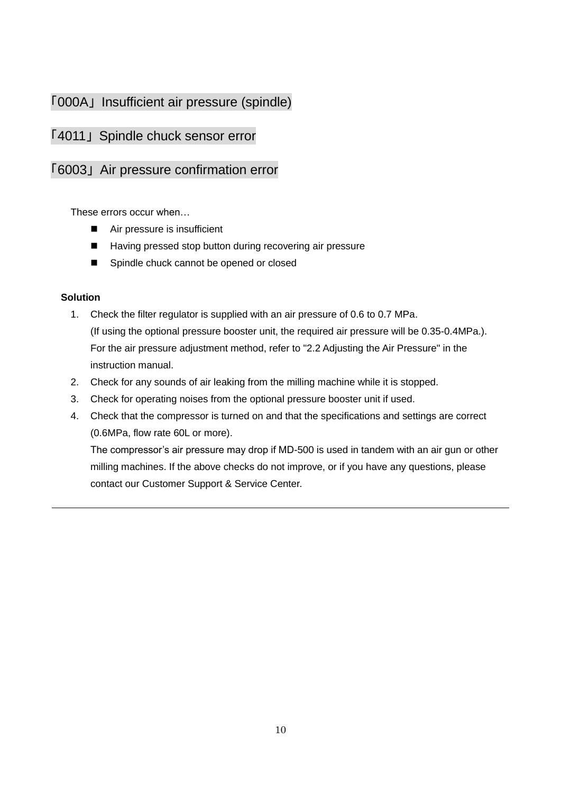# <span id="page-9-0"></span>「000A」 Insufficient air pressure (spindle)

# <span id="page-9-1"></span>「4011」 Spindle chuck sensor error

### <span id="page-9-2"></span>「6003」 Air pressure confirmation error

These errors occur when…

- Air pressure is insufficient
- Having pressed stop button during recovering air pressure
- Spindle chuck cannot be opened or closed

### **Solution**

- 1. Check the filter regulator is supplied with an air pressure of 0.6 to 0.7 MPa. (If using the optional pressure booster unit, the required air pressure will be 0.35-0.4MPa.). For the air pressure adjustment method, refer to "2.2 Adjusting the Air Pressure" in the instruction manual.
- 2. Check for any sounds of air leaking from the milling machine while it is stopped.
- 3. Check for operating noises from the optional pressure booster unit if used.
- 4. Check that the compressor is turned on and that the specifications and settings are correct (0.6MPa, flow rate 60L or more).

The compressor's air pressure may drop if MD-500 is used in tandem with an air gun or other milling machines. If the above checks do not improve, or if you have any questions, please contact our Customer Support & Service Center.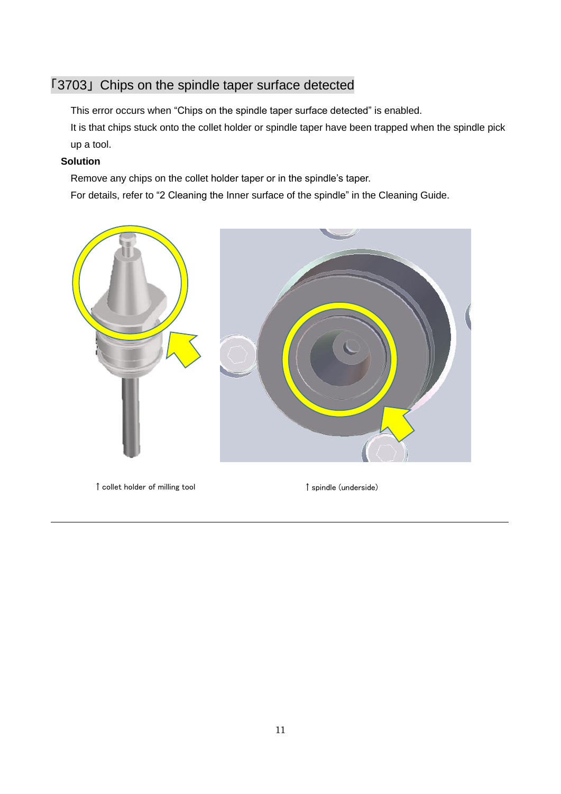# <span id="page-10-0"></span>「3703」 Chips on the spindle taper surface detected

This error occurs when "Chips on the spindle taper surface detected" is enabled.

It is that chips stuck onto the collet holder or spindle taper have been trapped when the spindle pick up a tool.

### **Solution**

Remove any chips on the collet holder taper or in the spindle's taper.

For details, refer to "2 Cleaning the Inner surface of the spindle" in the Cleaning Guide.



↑collet holder of milling tool ↑spindle (underside)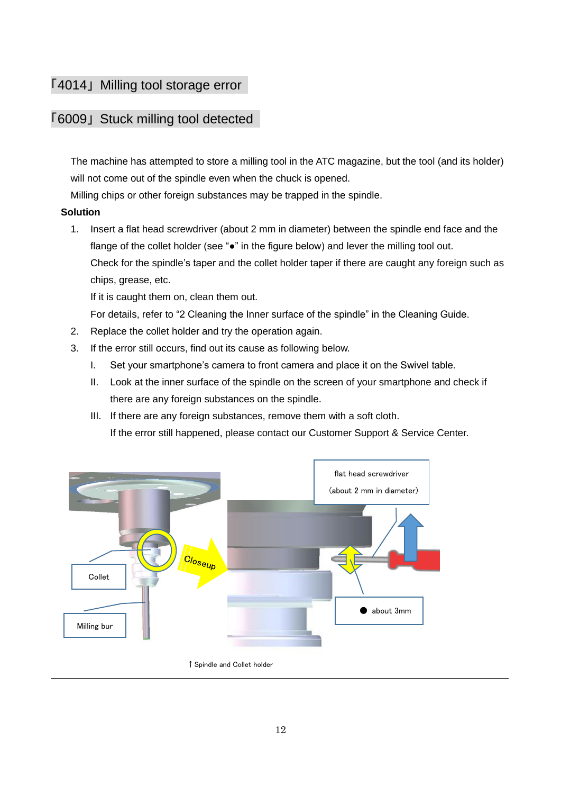# <span id="page-11-0"></span>「4014」 Milling tool storage error

### <span id="page-11-1"></span>「6009」 Stuck milling tool detected

The machine has attempted to store a milling tool in the ATC magazine, but the tool (and its holder) will not come out of the spindle even when the chuck is opened.

Milling chips or other foreign substances may be trapped in the spindle.

### **Solution**

1. Insert a flat head screwdriver (about 2 mm in diameter) between the spindle end face and the flange of the collet holder (see " $\bullet$ " in the figure below) and lever the milling tool out. Check for the spindle's taper and the collet holder taper if there are caught any foreign such as chips, grease, etc.

If it is caught them on, clean them out.

For details, refer to "2 Cleaning the Inner surface of the spindle" in the Cleaning Guide.

- 2. Replace the collet holder and try the operation again.
- 3. If the error still occurs, find out its cause as following below.
	- I. Set your smartphone's camera to front camera and place it on the Swivel table.
	- II. Look at the inner surface of the spindle on the screen of your smartphone and check if there are any foreign substances on the spindle.
	- III. If there are any foreign substances, remove them with a soft cloth. If the error still happened, please contact our Customer Support & Service Center.

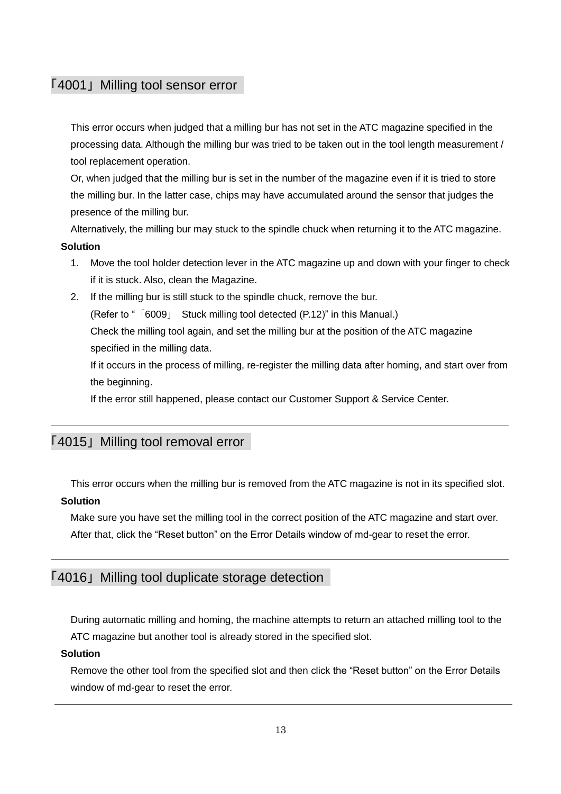### <span id="page-12-0"></span>「4001」 Milling tool sensor error

This error occurs when judged that a milling bur has not set in the ATC magazine specified in the processing data. Although the milling bur was tried to be taken out in the tool length measurement / tool replacement operation.

Or, when judged that the milling bur is set in the number of the magazine even if it is tried to store the milling bur. In the latter case, chips may have accumulated around the sensor that judges the presence of the milling bur.

Alternatively, the milling bur may stuck to the spindle chuck when returning it to the ATC magazine. **Solution**

- 1. Move the tool holder detection lever in the ATC magazine up and down with your finger to check if it is stuck. Also, clean the Magazine.
- 2. If the milling bur is still stuck to the spindle chuck, remove the bur. (Refer to "「6009」 [Stuck milling tool detected](#page-11-1) ([P.12\)](#page-11-1)" in this Manual.) Check the milling tool again, and set the milling bur at the position of the ATC magazine specified in the milling data.

If it occurs in the process of milling, re-register the milling data after homing, and start over from the beginning.

If the error still happened, please contact our Customer Support & Service Center.

### <span id="page-12-1"></span>「4015」 Milling tool removal error

This error occurs when the milling bur is removed from the ATC magazine is not in its specified slot.

### **Solution**

Make sure you have set the milling tool in the correct position of the ATC magazine and start over.

After that, click the "Reset button" on the Error Details window of md-gear to reset the error.

# <span id="page-12-2"></span>「4016」 Milling tool duplicate storage detection

During automatic milling and homing, the machine attempts to return an attached milling tool to the ATC magazine but another tool is already stored in the specified slot.

#### **Solution**

Remove the other tool from the specified slot and then click the "Reset button" on the Error Details window of md-gear to reset the error.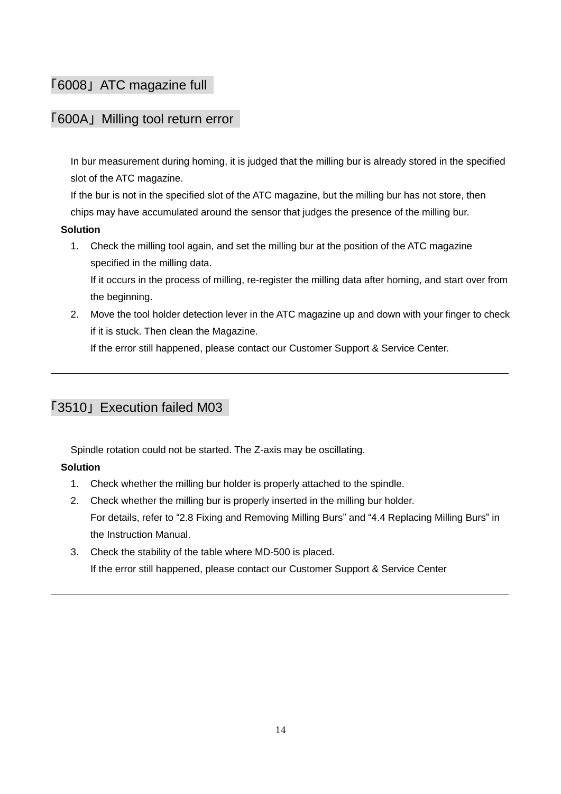# <span id="page-13-1"></span>「6008」 ATC magazine full

### <span id="page-13-2"></span>「600A」 Milling tool return error

In bur measurement during homing, it is judged that the milling bur is already stored in the specified slot of the ATC magazine.

If the bur is not in the specified slot of the ATC magazine, but the milling bur has not store, then chips may have accumulated around the sensor that judges the presence of the milling bur.

### **Solution**

1. Check the milling tool again, and set the milling bur at the position of the ATC magazine specified in the milling data.

If it occurs in the process of milling, re-register the milling data after homing, and start over from the beginning.

2. Move the tool holder detection lever in the ATC magazine up and down with your finger to check if it is stuck. Then clean the Magazine.

If the error still happened, please contact our Customer Support & Service Center.

## <span id="page-13-0"></span>「3510」 Execution failed M03

Spindle rotation could not be started. The Z-axis may be oscillating.

### **Solution**

- 1. Check whether the milling bur holder is properly attached to the spindle.
- 2. Check whether the milling bur is properly inserted in the milling bur holder. For details, refer to "2.8 Fixing and Removing Milling Burs" and "4.4 Replacing Milling Burs" in the Instruction Manual.
- 3. Check the stability of the table where MD-500 is placed. If the error still happened, please contact our Customer Support & Service Center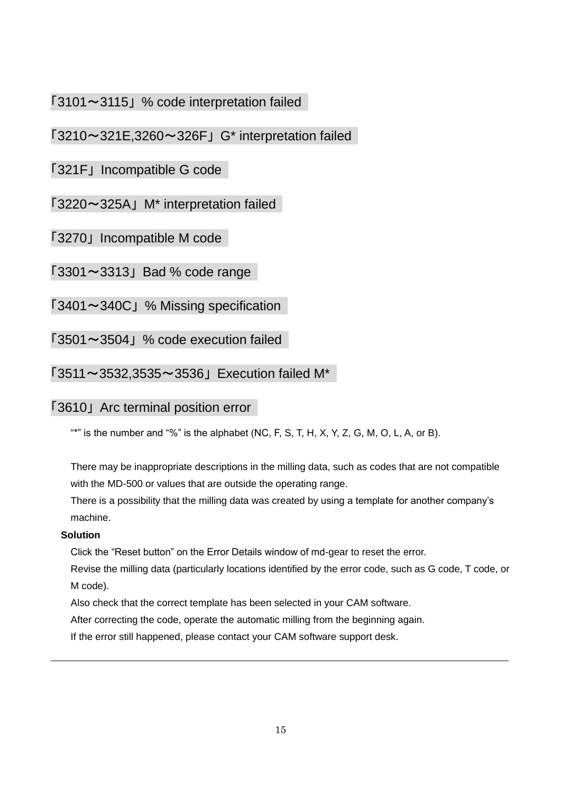# <span id="page-14-0"></span>「3101~3115」 % code interpretation failed

# 「3210~321E,3260~326F」 G\* interpretation failed

### 「321F」 Incompatible G code

# 「3220~325A」 M\* interpretation failed

「3270」 Incompatible M code

 $[3301 \sim 3313]$  Bad % code range

「3401~340C」 % Missing specification

「3501~3504」 % code execution failed

<span id="page-14-1"></span> $\sqrt{3511} \sim 3532,3535 \sim 3536$  Execution failed M\*

### <span id="page-14-2"></span>「3610」 Arc terminal position error

"\*" is the number and "%" is the alphabet (NC, F, S, T, H, X, Y, Z, G, M, O, L, A, or B).

There may be inappropriate descriptions in the milling data, such as codes that are not compatible with the MD-500 or values that are outside the operating range.

There is a possibility that the milling data was created by using a template for another company's machine.

### **Solution**

Click the "Reset button" on the Error Details window of md-gear to reset the error.

Revise the milling data (particularly locations identified by the error code, such as G code, T code, or M code).

Also check that the correct template has been selected in your CAM software.

After correcting the code, operate the automatic milling from the beginning again.

If the error still happened, please contact your CAM software support desk.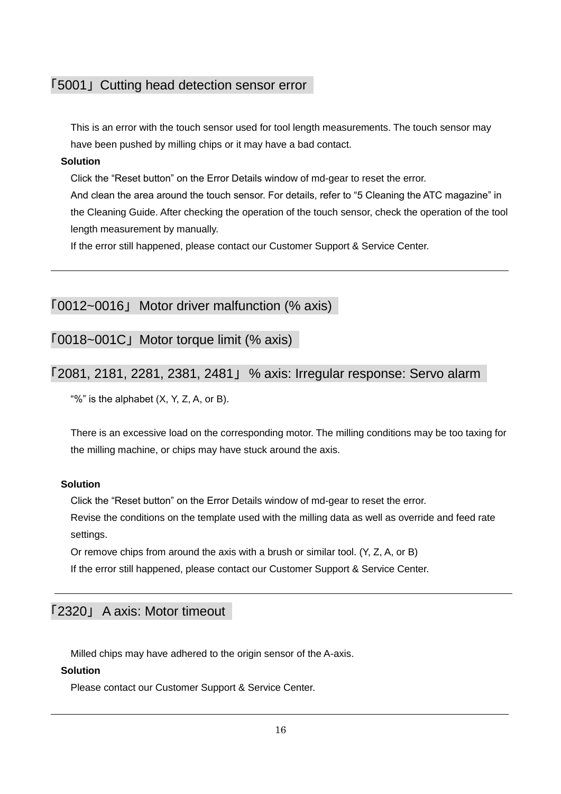### <span id="page-15-3"></span>「5001」 Cutting head detection sensor error

This is an error with the touch sensor used for tool length measurements. The touch sensor may have been pushed by milling chips or it may have a bad contact.

#### **Solution**

Click the "Reset button" on the Error Details window of md-gear to reset the error.

And clean the area around the touch sensor. For details, refer to "5 Cleaning the ATC magazine" in the Cleaning Guide. After checking the operation of the touch sensor, check the operation of the tool length measurement by manually.

If the error still happened, please contact our Customer Support & Service Center.

<span id="page-15-0"></span>「0012~0016」 Motor driver malfunction (% axis)

「0018~001C」 Motor torque limit (% axis)

### <span id="page-15-1"></span>「2081, 2181, 2281, 2381, 2481」 % axis: Irregular response: Servo alarm

"%" is the alphabet  $(X, Y, Z, A, or B)$ .

There is an excessive load on the corresponding motor. The milling conditions may be too taxing for the milling machine, or chips may have stuck around the axis.

#### **Solution**

Click the "Reset button" on the Error Details window of md-gear to reset the error.

Revise the conditions on the template used with the milling data as well as override and feed rate settings.

Or remove chips from around the axis with a brush or similar tool. (Y, Z, A, or B)

If the error still happened, please contact our Customer Support & Service Center.

### <span id="page-15-2"></span>「2320」 A axis: Motor timeout

Milled chips may have adhered to the origin sensor of the A-axis.

#### **Solution**

Please contact our Customer Support & Service Center.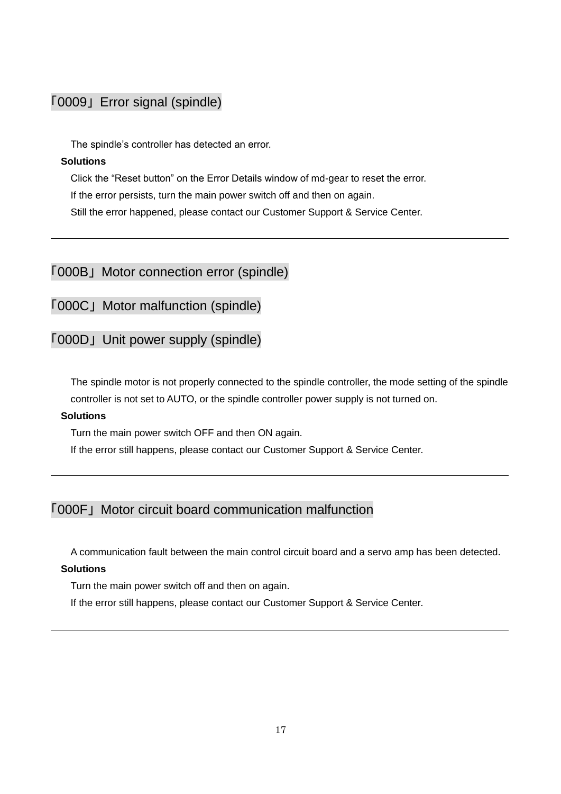# <span id="page-16-0"></span>「0009」 Error signal (spindle)

The spindle's controller has detected an error.

#### **Solutions**

Click the "Reset button" on the Error Details window of md-gear to reset the error. If the error persists, turn the main power switch off and then on again. Still the error happened, please contact our Customer Support & Service Center.

<span id="page-16-1"></span>「000B」 Motor connection error (spindle)

「000C」 Motor malfunction (spindle)

「000D」 Unit power supply (spindle)

The spindle motor is not properly connected to the spindle controller, the mode setting of the spindle controller is not set to AUTO, or the spindle controller power supply is not turned on.

#### **Solutions**

Turn the main power switch OFF and then ON again.

If the error still happens, please contact our Customer Support & Service Center.

# <span id="page-16-2"></span>「000F」 Motor circuit board communication malfunction

A communication fault between the main control circuit board and a servo amp has been detected.

#### **Solutions**

Turn the main power switch off and then on again.

If the error still happens, please contact our Customer Support & Service Center.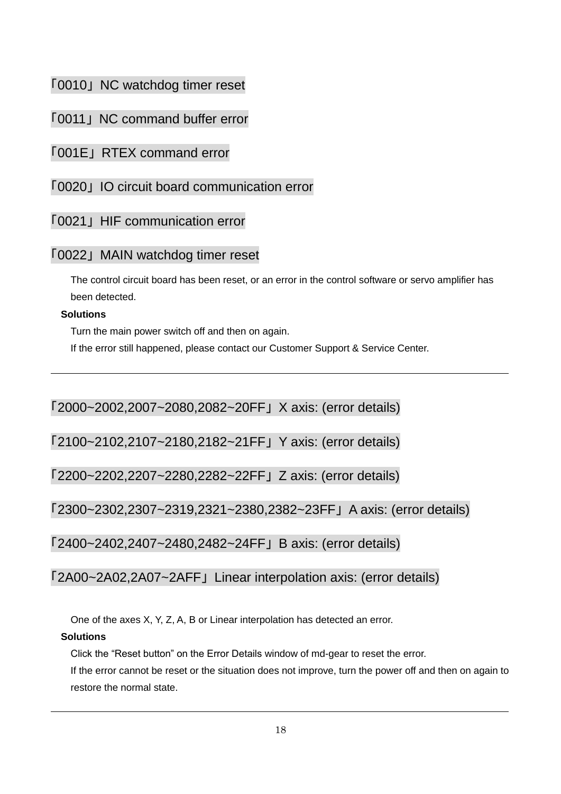# <span id="page-17-0"></span>「0010」 NC watchdog timer reset

「0011」 NC command buffer error

<span id="page-17-1"></span>「001E」 RTEX command error

「0020」 IO circuit board communication error

「0021」 HIF communication error

# 「0022」 MAIN watchdog timer reset

The control circuit board has been reset, or an error in the control software or servo amplifier has been detected.

### **Solutions**

Turn the main power switch off and then on again.

If the error still happened, please contact our Customer Support & Service Center.

<span id="page-17-2"></span>「2000~2002,2007~2080,2082~20FF」 X axis: (error details)

<span id="page-17-3"></span>「2100~2102,2107~2180,2182~21FF」 Y axis: (error details)

<span id="page-17-4"></span>「2200~2202,2207~2280,2282~22FF」 Z axis: (error details)

<span id="page-17-5"></span>「2300~2302,2307~2319,2321~2380,2382~23FF」 A axis: (error details)

<span id="page-17-6"></span>「2400~2402,2407~2480,2482~24FF」 B axis: (error details)

<span id="page-17-7"></span>「2A00~2A02,2A07~2AFF」 Linear interpolation axis: (error details)

One of the axes X, Y, Z, A, B or Linear interpolation has detected an error.

### **Solutions**

Click the "Reset button" on the Error Details window of md-gear to reset the error.

If the error cannot be reset or the situation does not improve, turn the power off and then on again to restore the normal state.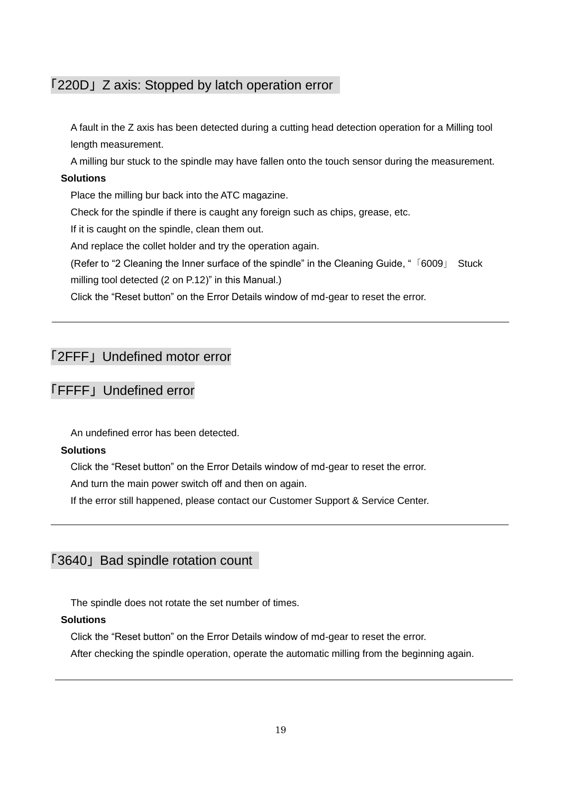### <span id="page-18-0"></span>「220D」 Z axis: Stopped by latch operation error

A fault in the Z axis has been detected during a cutting head detection operation for a Milling tool length measurement.

A milling bur stuck to the spindle may have fallen onto the touch sensor during the measurement.

#### **Solutions**

Place the milling bur back into the ATC magazine.

Check for the spindle if there is caught any foreign such as chips, grease, etc.

If it is caught on the spindle, clean them out.

And replace the collet holder and try the operation again.

(Refer to "2 Cleaning the Inner surface of the spindle" in the Cleaning Guide, "「6009」 [Stuck](#page-11-1)  [milling tool detected](#page-11-1) (2 on [P.12\)](#page-11-1)" in this Manual.)

Click the "Reset button" on the Error Details window of md-gear to reset the error.

### <span id="page-18-1"></span>「2FFF」 Undefined motor error

### <span id="page-18-3"></span>「FFFF」 Undefined error

An undefined error has been detected.

#### **Solutions**

Click the "Reset button" on the Error Details window of md-gear to reset the error.

And turn the main power switch off and then on again.

If the error still happened, please contact our Customer Support & Service Center.

### <span id="page-18-2"></span>「3640」 Bad spindle rotation count

The spindle does not rotate the set number of times.

### **Solutions**

Click the "Reset button" on the Error Details window of md-gear to reset the error.

After checking the spindle operation, operate the automatic milling from the beginning again.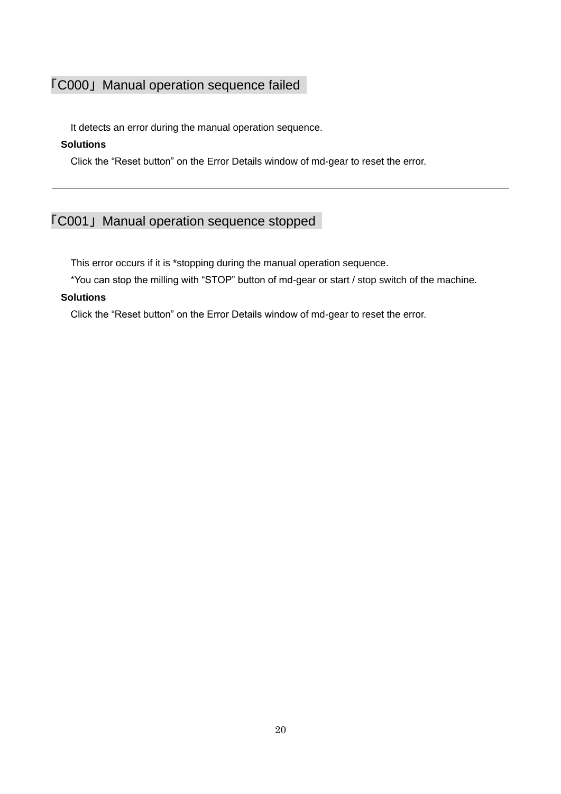# <span id="page-19-0"></span>「C000」 Manual operation sequence failed

It detects an error during the manual operation sequence.

### **Solutions**

Click the "Reset button" on the Error Details window of md-gear to reset the error.

# <span id="page-19-1"></span>「C001」 Manual operation sequence stopped

This error occurs if it is \*stopping during the manual operation sequence.

\*You can stop the milling with "STOP" button of md-gear or start / stop switch of the machine.

#### **Solutions**

Click the "Reset button" on the Error Details window of md-gear to reset the error.